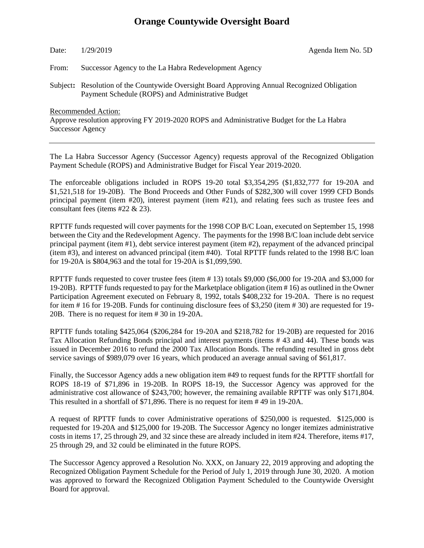### **Orange Countywide Oversight Board**

Date:  $1/29/2019$  Agenda Item No. 5D

From: Successor Agency to the La Habra Redevelopment Agency

Subject**:** Resolution of the Countywide Oversight Board Approving Annual Recognized Obligation Payment Schedule (ROPS) and Administrative Budget

Recommended Action:

Approve resolution approving FY 2019-2020 ROPS and Administrative Budget for the La Habra Successor Agency

The La Habra Successor Agency (Successor Agency) requests approval of the Recognized Obligation Payment Schedule (ROPS) and Administrative Budget for Fiscal Year 2019-2020.

The enforceable obligations included in ROPS 19-20 total \$3,354,295 (\$1,832,777 for 19-20A and \$1,521,518 for 19-20B). The Bond Proceeds and Other Funds of \$282,300 will cover 1999 CFD Bonds principal payment (item #20), interest payment (item #21), and relating fees such as trustee fees and consultant fees (items #22 & 23).

RPTTF funds requested will cover payments for the 1998 COP B/C Loan, executed on September 15, 1998 between the City and the Redevelopment Agency. The payments for the 1998 B/C loan include debt service principal payment (item #1), debt service interest payment (item #2), repayment of the advanced principal (item #3), and interest on advanced principal (item #40). Total RPTTF funds related to the 1998 B/C loan for 19-20A is \$804,963 and the total for 19-20A is \$1,099,590.

RPTTF funds requested to cover trustee fees (item # 13) totals \$9,000 (\$6,000 for 19-20A and \$3,000 for 19-20B). RPTTF funds requested to pay for the Marketplace obligation (item # 16) as outlined in the Owner Participation Agreement executed on February 8, 1992, totals \$408,232 for 19-20A. There is no request for item # 16 for 19-20B. Funds for continuing disclosure fees of \$3,250 (item # 30) are requested for 19- 20B. There is no request for item # 30 in 19-20A.

RPTTF funds totaling \$425,064 (\$206,284 for 19-20A and \$218,782 for 19-20B) are requested for 2016 Tax Allocation Refunding Bonds principal and interest payments (items # 43 and 44). These bonds was issued in December 2016 to refund the 2000 Tax Allocation Bonds. The refunding resulted in gross debt service savings of \$989,079 over 16 years, which produced an average annual saving of \$61,817.

Finally, the Successor Agency adds a new obligation item #49 to request funds for the RPTTF shortfall for ROPS 18-19 of \$71,896 in 19-20B. In ROPS 18-19, the Successor Agency was approved for the administrative cost allowance of \$243,700; however, the remaining available RPTTF was only \$171,804. This resulted in a shortfall of \$71,896. There is no request for item # 49 in 19-20A.

A request of RPTTF funds to cover Administrative operations of \$250,000 is requested. \$125,000 is requested for 19-20A and \$125,000 for 19-20B. The Successor Agency no longer itemizes administrative costs in items 17, 25 through 29, and 32 since these are already included in item #24. Therefore, items #17, 25 through 29, and 32 could be eliminated in the future ROPS.

The Successor Agency approved a Resolution No. XXX, on January 22, 2019 approving and adopting the Recognized Obligation Payment Schedule for the Period of July 1, 2019 through June 30, 2020. A motion was approved to forward the Recognized Obligation Payment Scheduled to the Countywide Oversight Board for approval.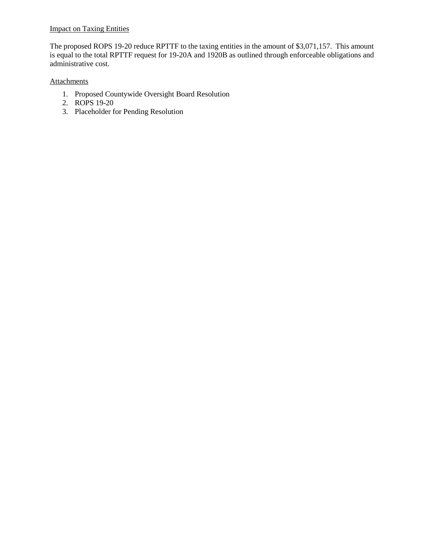### **Impact on Taxing Entities**

The proposed ROPS 19-20 reduce RPTTF to the taxing entities in the amount of \$3,071,157. This amount is equal to the total RPTTF request for 19-20A and 1920B as outlined through enforceable obligations and administrative cost.

### **Attachments**

- 1. Proposed Countywide Oversight Board Resolution
- 2. ROPS 19-20
- 3. Placeholder for Pending Resolution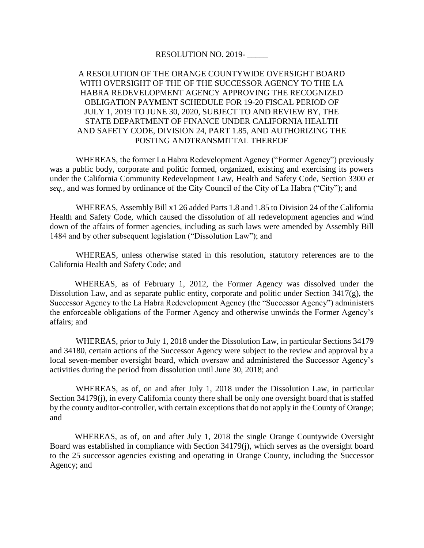### RESOLUTION NO. 2019-

### A RESOLUTION OF THE ORANGE COUNTYWIDE OVERSIGHT BOARD WITH OVERSIGHT OF THE OF THE SUCCESSOR AGENCY TO THE LA HABRA REDEVELOPMENT AGENCY APPROVING THE RECOGNIZED OBLIGATION PAYMENT SCHEDULE FOR 19-20 FISCAL PERIOD OF JULY 1, 2019 TO JUNE 30, 2020, SUBJECT TO AND REVIEW BY, THE STATE DEPARTMENT OF FINANCE UNDER CALIFORNIA HEALTH AND SAFETY CODE, DIVISION 24, PART 1.85, AND AUTHORIZING THE POSTING ANDTRANSMITTAL THEREOF

WHEREAS, the former La Habra Redevelopment Agency ("Former Agency") previously was a public body, corporate and politic formed, organized, existing and exercising its powers under the California Community Redevelopment Law, Health and Safety Code, Section 3300 *et seq.,* and was formed by ordinance of the City Council of the City of La Habra ("City"); and

WHEREAS, Assembly Bill x1 26 added Parts 1.8 and 1.85 to Division 24 of the California Health and Safety Code, which caused the dissolution of all redevelopment agencies and wind down of the affairs of former agencies, including as such laws were amended by Assembly Bill 1484 and by other subsequent legislation ("Dissolution Law"); and

WHEREAS, unless otherwise stated in this resolution, statutory references are to the California Health and Safety Code; and

WHEREAS, as of February 1, 2012, the Former Agency was dissolved under the Dissolution Law, and as separate public entity, corporate and politic under Section 3417(g), the Successor Agency to the La Habra Redevelopment Agency (the "Successor Agency") administers the enforceable obligations of the Former Agency and otherwise unwinds the Former Agency's affairs; and

WHEREAS, prior to July 1, 2018 under the Dissolution Law, in particular Sections 34179 and 34180, certain actions of the Successor Agency were subject to the review and approval by a local seven-member oversight board, which oversaw and administered the Successor Agency's activities during the period from dissolution until June 30, 2018; and

WHEREAS, as of, on and after July 1, 2018 under the Dissolution Law, in particular Section 34179(j), in every California county there shall be only one oversight board that is staffed by the county auditor-controller, with certain exceptions that do not apply in the County of Orange; and

WHEREAS, as of, on and after July 1, 2018 the single Orange Countywide Oversight Board was established in compliance with Section 34179(j), which serves as the oversight board to the 25 successor agencies existing and operating in Orange County, including the Successor Agency; and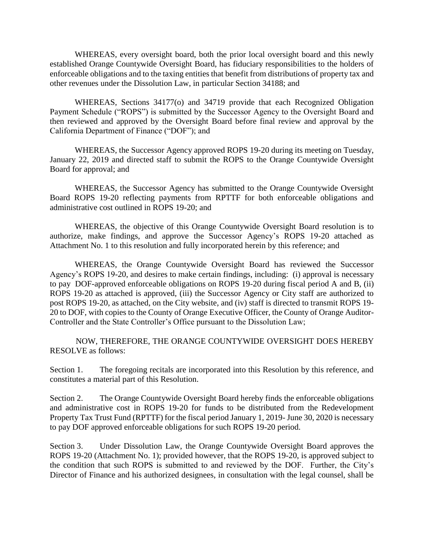WHEREAS, every oversight board, both the prior local oversight board and this newly established Orange Countywide Oversight Board, has fiduciary responsibilities to the holders of enforceable obligations and to the taxing entities that benefit from distributions of property tax and other revenues under the Dissolution Law, in particular Section 34188; and

WHEREAS, Sections 34177(o) and 34719 provide that each Recognized Obligation Payment Schedule ("ROPS") is submitted by the Successor Agency to the Oversight Board and then reviewed and approved by the Oversight Board before final review and approval by the California Department of Finance ("DOF"); and

WHEREAS, the Successor Agency approved ROPS 19-20 during its meeting on Tuesday, January 22, 2019 and directed staff to submit the ROPS to the Orange Countywide Oversight Board for approval; and

WHEREAS, the Successor Agency has submitted to the Orange Countywide Oversight Board ROPS 19-20 reflecting payments from RPTTF for both enforceable obligations and administrative cost outlined in ROPS 19-20; and

WHEREAS, the objective of this Orange Countywide Oversight Board resolution is to authorize, make findings, and approve the Successor Agency's ROPS 19-20 attached as Attachment No. 1 to this resolution and fully incorporated herein by this reference; and

WHEREAS, the Orange Countywide Oversight Board has reviewed the Successor Agency's ROPS 19-20, and desires to make certain findings, including: (i) approval is necessary to pay DOF-approved enforceable obligations on ROPS 19-20 during fiscal period A and B, (ii) ROPS 19-20 as attached is approved, (iii) the Successor Agency or City staff are authorized to post ROPS 19-20, as attached, on the City website, and (iv) staff is directed to transmit ROPS 19- 20 to DOF, with copies to the County of Orange Executive Officer, the County of Orange Auditor-Controller and the State Controller's Office pursuant to the Dissolution Law;

NOW, THEREFORE, THE ORANGE COUNTYWIDE OVERSIGHT DOES HEREBY RESOLVE as follows:

Section 1. The foregoing recitals are incorporated into this Resolution by this reference, and constitutes a material part of this Resolution.

Section 2. The Orange Countywide Oversight Board hereby finds the enforceable obligations and administrative cost in ROPS 19-20 for funds to be distributed from the Redevelopment Property Tax Trust Fund (RPTTF) for the fiscal period January 1, 2019- June 30, 2020 is necessary to pay DOF approved enforceable obligations for such ROPS 19-20 period.

Section 3. Under Dissolution Law, the Orange Countywide Oversight Board approves the ROPS 19-20 (Attachment No. 1); provided however, that the ROPS 19-20, is approved subject to the condition that such ROPS is submitted to and reviewed by the DOF. Further, the City's Director of Finance and his authorized designees, in consultation with the legal counsel, shall be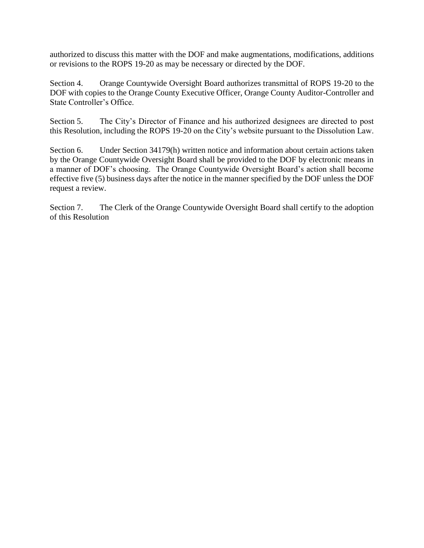authorized to discuss this matter with the DOF and make augmentations, modifications, additions or revisions to the ROPS 19-20 as may be necessary or directed by the DOF.

Section 4. Orange Countywide Oversight Board authorizes transmittal of ROPS 19-20 to the DOF with copies to the Orange County Executive Officer, Orange County Auditor-Controller and State Controller's Office.

Section 5. The City's Director of Finance and his authorized designees are directed to post this Resolution, including the ROPS 19-20 on the City's website pursuant to the Dissolution Law.

Section 6. Under Section 34179(h) written notice and information about certain actions taken by the Orange Countywide Oversight Board shall be provided to the DOF by electronic means in a manner of DOF's choosing. The Orange Countywide Oversight Board's action shall become effective five (5) business days after the notice in the manner specified by the DOF unless the DOF request a review.

Section 7. The Clerk of the Orange Countywide Oversight Board shall certify to the adoption of this Resolution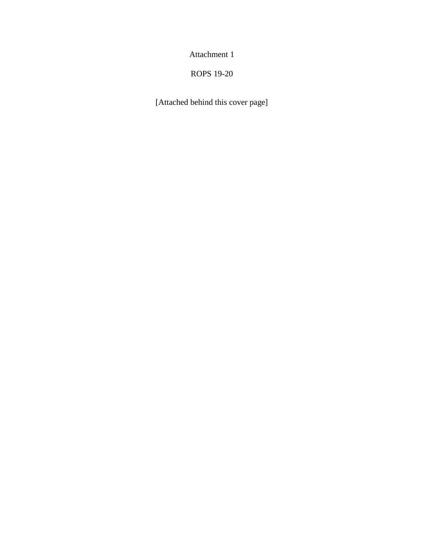Attachment 1

### ROPS 19-20

[Attached behind this cover page]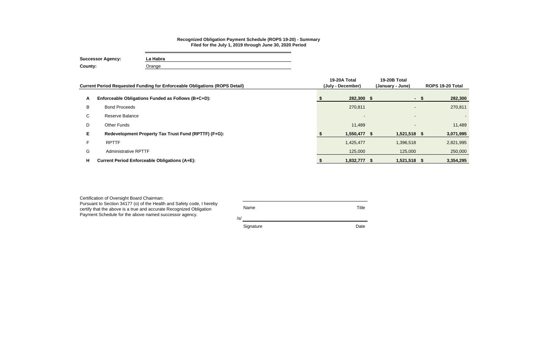|    | Current Period Requested Funding for Enforceable Obligations (ROPS Detail) | 19-20A Total<br>(July - December) | 19-20B Total<br>(January - June) |      | ROPS 19-20 Total |
|----|----------------------------------------------------------------------------|-----------------------------------|----------------------------------|------|------------------|
| A  | Enforceable Obligations Funded as Follows (B+C+D):                         | 282,300 \$                        |                                  | - \$ | 282,300          |
| B  | <b>Bond Proceeds</b>                                                       | 270,811                           | $\sim$                           |      | 270,811          |
| C  | Reserve Balance                                                            | $\sim$                            | $\overline{\phantom{a}}$         |      | $\sim$           |
| D  | <b>Other Funds</b>                                                         | 11,489                            | $\overline{\phantom{a}}$         |      | 11,489           |
| E. | Redevelopment Property Tax Trust Fund (RPTTF) (F+G):                       | 1,550,477 \$                      | 1,521,518 \$                     |      | 3,071,995        |
|    | <b>RPTTF</b>                                                               | 1,425,477                         | 1,396,518                        |      | 2,821,995        |
| G  | <b>Administrative RPTTF</b>                                                | 125,000                           | 125,000                          |      | 250,000          |
| н. | <b>Current Period Enforceable Obligations (A+E):</b>                       | 1,832,777 \$                      | 1,521,518 \$                     |      | 3,354,295        |

| Certification of Oversight Board Chairman:<br>Pursuant to Section 34177 (o) of the Health and Safety code, I hereby<br>certify that the above is a true and accurate Recognized Obligation<br>Payment Schedule for the above named successor agency. | Name<br>/s/ | Title |
|------------------------------------------------------------------------------------------------------------------------------------------------------------------------------------------------------------------------------------------------------|-------------|-------|
|                                                                                                                                                                                                                                                      | Signature   | Date  |

### **Recognized Obligation Payment Schedule (ROPS 19-20) - Summary Filed for the July 1, 2019 through June 30, 2020 Period**

**Successor Agency: La Habra County:** Orange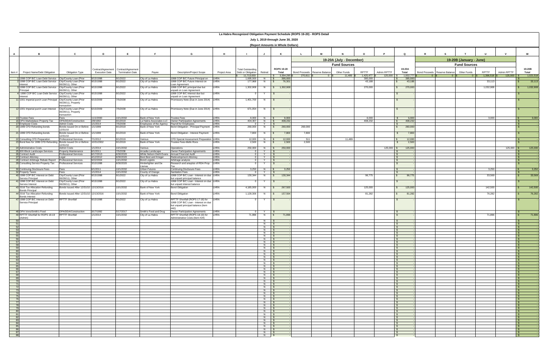|                                         |                                                                               |                                             |                        |                                       |                                                   |                                                                                                               |              | La Habra Recognized Obligation Payment Schedule (ROPS 19-20) - ROPS Detail |                      |                                    |                                 |                             |                          |                    |              |                                |                                       |                         |                    |                             |                            |
|-----------------------------------------|-------------------------------------------------------------------------------|---------------------------------------------|------------------------|---------------------------------------|---------------------------------------------------|---------------------------------------------------------------------------------------------------------------|--------------|----------------------------------------------------------------------------|----------------------|------------------------------------|---------------------------------|-----------------------------|--------------------------|--------------------|--------------|--------------------------------|---------------------------------------|-------------------------|--------------------|-----------------------------|----------------------------|
|                                         |                                                                               |                                             |                        |                                       |                                                   |                                                                                                               |              |                                                                            |                      | July 1, 2019 through June 30, 2020 |                                 |                             |                          |                    |              |                                |                                       |                         |                    |                             |                            |
|                                         |                                                                               |                                             |                        |                                       |                                                   |                                                                                                               |              |                                                                            |                      | (Report Amounts in Whole Dollars)  |                                 |                             |                          |                    |              |                                |                                       |                         |                    |                             |                            |
|                                         |                                                                               |                                             |                        |                                       |                                                   |                                                                                                               |              |                                                                            |                      |                                    |                                 |                             |                          |                    |              |                                |                                       |                         |                    |                             |                            |
| $\mathsf{A}$                            | <b>B</b>                                                                      | C                                           | D                      | E                                     | E                                                 | G                                                                                                             | H            |                                                                            | J                    | K                                  |                                 | М                           |                          |                    |              | $\mathbf Q$                    |                                       |                         |                    |                             | W                          |
|                                         |                                                                               |                                             |                        |                                       |                                                   |                                                                                                               |              |                                                                            |                      |                                    |                                 |                             | 19-20A (July - December) |                    |              |                                |                                       | 19-20B (January - June) |                    |                             |                            |
|                                         |                                                                               |                                             |                        |                                       |                                                   |                                                                                                               |              |                                                                            |                      |                                    |                                 |                             | <b>Fund Sources</b>      |                    |              |                                |                                       | <b>Fund Sources</b>     |                    |                             |                            |
|                                         |                                                                               |                                             |                        | Contract/Agreement Contract/Agreement |                                                   |                                                                                                               |              | <b>Total Outstanding</b>                                                   |                      | <b>ROPS 19-20</b>                  |                                 |                             |                          |                    |              | 19-20A                         |                                       |                         |                    |                             | 19-20B                     |
| Item $#$                                | Project Name/Debt Obligation                                                  | Obligation Type                             | <b>Execution Date</b>  | <b>Termination Date</b>               | Payee                                             | <b>Description/Project Scope</b>                                                                              | Project Area | Debt or Obligation<br>11.713.033                                           | Retired              | Total<br>\$3,354,295               | <b>Bond Proceeds</b><br>270.811 | Reserve Balance<br>$\Omega$ | Other Funds<br>11.489 \$ | RPTTF<br>1,425,477 | Admin RPTTF  | Total<br>125,000 \$ 1,832,777  | Bond Proceeds Reserve Balance<br>0 IS | Other Funds<br>$\Omega$ | RPTTF<br>1,396,518 | Admin RPTTF<br>$125,000$ \$ | Total<br>1,521,518         |
|                                         | 1998 COP B/C Loan Debt Service City/County Loan (Prior                        |                                             | 9/15/1998              | 9/1/2022                              | City of La Habra                                  | 1998 COP B/C Future Principal on                                                                              | LHRA         | 1,695,000                                                                  | N \$                 | 395,000<br>$\mathsf{S}$            |                                 |                             |                          | 395,000            |              | 395,000                        |                                       |                         |                    |                             | 33,113                     |
|                                         | 1998 COP B/C Loan Debt Service City/County Loan (Prior<br>nterest             | 06/28/11), Other                            | 9/15/1998              | 9/1/2022                              | City of La Habra                                  | 1998 COP B/C Future Interest on<br>oan Agreement                                                              | LHRA         | 177,968                                                                    | N                    | 76,301                             |                                 |                             |                          | 43,188             |              | 43,188                         |                                       |                         | 33,113             |                             |                            |
|                                         | 1998 COP B/C Loan Debt Service City/County Loan (Prior<br>Principal           | 06/28/11), Other                            | 9/15/1998              | 3/1/2022                              | City of La Habra                                  | 998 COP B/C principal due but<br>unpaid on Loan Agreement                                                     | LHRA         | 1,302,908                                                                  | N                    | \$ 1,302,908                       |                                 |                             |                          | 270,000            |              | 270,000                        |                                       |                         | 1,032,908          |                             | 1,032,908                  |
|                                         | 1998 COP B/C Loan Debt Service City/County Loan (Prior                        |                                             | 9/15/1998              | 9/1/2022                              | City of La Habra                                  | 1998 COP B/C Interest due but                                                                                 | LHRA         |                                                                            |                      | - \$                               |                                 |                             |                          |                    |              | - \$                           |                                       |                         |                    |                             |                            |
|                                         | terest<br>11 1001 Imperial purch Loan Principal City/County Loan (Prior       | 06/28/11), Other                            | 6/15/2009              | 7/5/2038                              | City of La Habra                                  | unpaid on Loan Agreement<br>Promissory Note (Due in June 2014) LHRA                                           |              | 1,401,700                                                                  | N                    | $\sqrt{S}$                         |                                 |                             |                          |                    |              | -S                             |                                       |                         |                    |                             |                            |
|                                         |                                                                               | 06/28/11), Property<br>transaction          |                        |                                       |                                                   |                                                                                                               |              |                                                                            |                      |                                    |                                 |                             |                          |                    |              |                                |                                       |                         |                    |                             |                            |
|                                         | 12 1001 Imperial purch Loan Interest                                          | City/County Loan (Prior                     | 6/15/2009              | 7/5/2038                              | City of La Habra                                  | Promissory Note (Due in June 2014) LHRA                                                                       |              | 671,054                                                                    | N                    | $\mathsf{s}$                       |                                 |                             |                          |                    |              |                                |                                       |                         |                    |                             |                            |
|                                         |                                                                               | 06/28/11), Property<br>transaction          |                        |                                       |                                                   |                                                                                                               |              |                                                                            |                      |                                    |                                 |                             |                          |                    |              |                                |                                       |                         |                    |                             |                            |
|                                         | 13 Trustee Fees                                                               | Fees                                        | 11/1/2000              | 10/1/2032                             | Bank of New York                                  | <b>Trustee Fees</b>                                                                                           | LHRA         | 9,000                                                                      | N                    | 9,000<br>$\sqrt{s}$                |                                 |                             |                          | 6,000              |              | 6,000<br>$\mathcal{L}$         |                                       |                         | 3,000              |                             | 3,000                      |
|                                         | 16 OPA Marketplace Property Tax<br>17 Employee Costs                          | OPA/DDA/Construction<br><b>Admin Costs</b>  | 2/8/1992<br>/1/2014    | 9/1/2019<br>7/5/2038                  | a Habra Associates LLC<br>Employees of the Agency | <b>Owner Participation Agreements</b><br>Payroll for Employees                                                | LHRA<br>LHRA | 404,307<br>0 I                                                             | N<br>Y               | 408,232<br>$\sqrt{S}$<br>S         |                                 |                             |                          | 408,232            |              | 408,232<br>$\mathbb{S}$<br>IS- |                                       |                         |                    |                             |                            |
|                                         | 20 1999 CFD Refunding bonds                                                   | Bonds Issued On or Before                   | /1/1999                | 9/1/2019                              | Bank of New York                                  | Bond Obilgation - Principal Payment                                                                           | LHRA         | 260,000                                                                    | N                    | 260,000                            | 260,000                         |                             |                          |                    |              | 260,000                        |                                       |                         |                    |                             |                            |
|                                         | 21 1999 CFD Refunding bonds                                                   | 12/31/10<br>Bonds Issued On or Before       | 1/1/1999               | 9/1/2019                              | Bank of New York                                  | Bond Obilgation - Interest Payment LHRA                                                                       |              | 7,800                                                                      | N                    | 7,800                              | 7,800                           |                             |                          |                    |              | 7,800                          |                                       |                         |                    |                             |                            |
|                                         | 22 Consulting CFD Preparation                                                 | 12/31/10<br><b>Professional Services</b>    | /1/2012                | 9/1/2019                              | Various                                           | CFD Special Assessment Preparation LHRA                                                                       |              | 12,000                                                                     | N                    | 12,000<br>S.                       | 511                             |                             | 11.489                   |                    |              | 12,000<br>$\mathcal{S}$        |                                       |                         |                    |                             |                            |
|                                         | 23 Bond fees for 1999 CFD Refunding Bonds Issued On or Before                 | 12/31/10                                    | 10/31/2002             | 9/1/2019                              | Bank of New York                                  | Trustee Fees-Mello Roos                                                                                       | LHRA         | 2,500                                                                      | N                    | 2,500<br>$\mathsf{s}$              | 2,500                           |                             |                          |                    |              | 2,500<br>- \$                  |                                       |                         |                    |                             |                            |
|                                         | 24 Administrative Costs                                                       | <b>Admin Costs</b>                          | 1/1/2014               | 10/1/2032                             | Various                                           | Operations                                                                                                    | LHRA         |                                                                            |                      | 250,000 N \$ 250,000               |                                 |                             |                          |                    | $125,000$ \$ | 125,000                        |                                       |                         |                    | $125,000$ \$                | 125,000                    |
|                                         | 25 900 Block Landscape Services                                               | Property Maintenance                        | 6/1/2011               | 7/5/2038                              | Arcadia Landscape                                 | Owner Participation Agreements                                                                                | LHRA         |                                                                            | $0$ Y S              |                                    |                                 |                             |                          |                    |              | - \$                           |                                       |                         |                    |                             |                            |
|                                         | 26 Contract Audit<br>27 Contract Attorney                                     | <b>Professional Services</b><br>Legal       | 6/17/2013<br>4/12/2012 | 6/30/2020<br>6/30/2020                | White Nelson Diehl Evans<br>Best Best and Krieger | <b>Annual Financial Audit</b><br>Redevelopment Attorney                                                       | LHRA<br>LHRA | $\overline{0}$                                                             | Y<br>$\Omega$<br>Y   | $\mathbf{s}$<br>$\mathsf{S}$       |                                 |                             |                          |                    |              | $\mathcal{S}$<br>$\mathbf{s}$  |                                       |                         |                    |                             | ∣S⊺                        |
|                                         | 28 Contract Arbitrage Rebate Report                                           | <b>Professional Services</b>                | 9/22/2004              | 10/1/2032                             | <b>Bond Logistix</b>                              | Arbitrage analysis                                                                                            | LHRA         | $\overline{0}$                                                             | Y                    | $\sqrt{S}$                         |                                 |                             |                          |                    |              | - \$                           |                                       |                         |                    |                             |                            |
|                                         | 29 Consulting Service Property Tax                                            | Professional Services                       | 3/10/1998              | 6/30/2020                             | linderlighter and De<br>lamas                     | Research and anaylsis of RDA Prop<br>Гaх                                                                      | LHRA         |                                                                            |                      | - \$                               |                                 |                             |                          |                    |              | - \$                           |                                       |                         |                    |                             |                            |
|                                         | 30 Continuing Disclosure Fees                                                 | Fees                                        | 6/1/2011               | 10/1/2032                             | <b>Jrban Futures</b>                              | <b>Continuing Disclsoure Fees</b>                                                                             | LHRA         | 3,250                                                                      | N   \$               | 3,250                              |                                 |                             |                          |                    |              |                                |                                       |                         | 3,250              |                             | 3,250<br>∣\$.              |
|                                         | 32 Property Taxes<br>40 1998 COP B/C Interest on Debt                         | Fees<br>City/County Loan (Prior             | /1/2014<br>9/15/1998   | 10/1/2032<br>9/1/2022                 | County of Orange<br>City of La Habra              | Sanitation Fees<br>1998 COP B/C Loan - Interest on due LHRA                                                   | LHRA         | $\circ$<br>130,344                                                         | Y                    | ∣\$<br>130,344<br><b>S</b>         |                                 |                             |                          | 96,775             |              | -SS<br>96,775                  |                                       |                         | 33,569             |                             | 33,569                     |
|                                         | Service Principal<br>11 1998 COP B/C Interest on Debt                         | 06/28/11), Other<br>City/County Loan (Prior | 9/15/1998              | 9/1/2022                              | City of La Habra                                  | but unpaid principal balance<br>1998 COP B/C Loan - Interest on due LHRA                                      |              |                                                                            |                      |                                    |                                 |                             |                          |                    |              |                                |                                       |                         |                    |                             |                            |
|                                         | Service Interest                                                              | 06/28/11), Other                            |                        |                                       |                                                   | out unpaid interest balance                                                                                   |              |                                                                            |                      |                                    |                                 |                             |                          |                    |              |                                |                                       |                         |                    |                             |                            |
|                                         | 43 2016 Tax Allocation Refunding<br><b>Bonds Principal</b>                    | Bonds Issued After 12/31/10 12/13/2016      |                        | 10/1/2032                             | Bank of New York                                  | <b>Bond Obligation</b>                                                                                        | LHRA         | 4,185,000                                                                  | N                    | 267,500<br>$\mathsf{S}$            |                                 |                             |                          | 125,000            |              | 125,000                        |                                       |                         | 142,500            |                             | 142,500                    |
|                                         | 44 2016 Tax Allocation Refunding<br><b>Bonds Interest</b>                     | Bonds Issued After 12/31/10 12/13/2016      |                        | 10/1/2032                             | <b>Bank of New York</b>                           | <b>Bond Obligation</b>                                                                                        | LHRA         | 1,128,306                                                                  | N                    | 157,564<br>$\mathsf{S}$            |                                 |                             |                          | 81,282             |              | 81,282                         |                                       |                         | 76,282             |                             | 76,282                     |
|                                         | 47 1998 COP B/C Interest on Debt<br>Service Principal                         | <b>RPTTF Shortfall</b>                      | 9/15/1998              | 9/1/2022                              | City of La Habra                                  | RPTTF Shortfall (ROPS 17-18) for<br>1998 COP B/C Loan - Interest on due<br>but unpaid principal balance (Item | LHRA         |                                                                            |                      |                                    |                                 |                             |                          |                    |              |                                |                                       |                         |                    |                             |                            |
|                                         |                                                                               |                                             |                        |                                       |                                                   | (01)                                                                                                          |              |                                                                            |                      |                                    |                                 |                             |                          |                    |              |                                |                                       |                         |                    |                             |                            |
|                                         | 48 OPA Vons/Smith's Food<br>49 RPTTF Shortfall for ROPS 18-19 RPTTF Shortfall | OPA/DDA/Construction                        | 3/17/1992<br>/1/2014   | 5/17/2017<br>10/1/2032                | Smith's Food and Drug<br>City of La Habra         | <b>Owner Participation Agreements</b><br>RPTTF Shortfall (ROPS 18-19) for                                     | LHRA<br>LHRA | 71,896                                                                     | $0$ Y<br>$N$ \$      | $\overline{\text{s}}$<br>71,896    |                                 |                             |                          |                    |              | $\mathbf{s}$<br>$\mathbf{s}$   |                                       |                         | 71,896             |                             | l S<br>71,896              |
|                                         | (Admin)                                                                       |                                             |                        |                                       |                                                   | Administrative Costs (Item #24)                                                                               |              |                                                                            |                      |                                    |                                 |                             |                          |                    |              |                                |                                       |                         |                    |                             |                            |
| 51                                      |                                                                               |                                             |                        |                                       |                                                   |                                                                                                               |              |                                                                            | N S<br>$N$ $S$       |                                    |                                 |                             |                          |                    |              | - \$<br>$\mathsf{S}$           |                                       |                         |                    |                             |                            |
| 52                                      |                                                                               |                                             |                        |                                       |                                                   |                                                                                                               |              |                                                                            | $N$ \$               |                                    |                                 |                             |                          |                    |              | $\overline{\mathbf{s}}$        |                                       |                         |                    |                             |                            |
| 53<br>- 54                              |                                                                               |                                             |                        |                                       |                                                   |                                                                                                               |              |                                                                            | $N$ \$<br>N S        |                                    |                                 |                             |                          |                    |              | $\mathbf{s}$<br>IS-            |                                       |                         |                    |                             |                            |
| 55                                      |                                                                               |                                             |                        |                                       |                                                   |                                                                                                               |              |                                                                            | $N$ \$               |                                    |                                 |                             |                          |                    |              | $\sqrt{s}$                     |                                       |                         |                    |                             | $\mathsf{S}$               |
| 56<br>57                                |                                                                               |                                             |                        |                                       |                                                   |                                                                                                               |              |                                                                            | $N$ \$<br>$N \mid S$ |                                    |                                 |                             |                          |                    |              | $\sqrt{3}$<br>$\sqrt{s}$       |                                       |                         |                    |                             | $\sqrt{S}$<br>$\sqrt{5}$   |
| 58                                      |                                                                               |                                             |                        |                                       |                                                   |                                                                                                               |              |                                                                            | $N$ $S$              |                                    |                                 |                             |                          |                    |              | $\sqrt{S}$                     |                                       |                         |                    |                             |                            |
| 59<br>60                                |                                                                               |                                             |                        |                                       |                                                   |                                                                                                               |              |                                                                            | $N$ \$<br>$N$ \$     |                                    |                                 |                             |                          |                    |              | $\sqrt{s}$<br>$\sqrt{s}$       |                                       |                         |                    |                             | $\mathsf{S}$<br>$\sqrt{s}$ |
| 61<br>62                                |                                                                               |                                             |                        |                                       |                                                   |                                                                                                               |              |                                                                            | $N$ \$<br>$N$ \$     |                                    |                                 |                             |                          |                    |              | $\sqrt{s}$<br>$\sqrt{s}$       |                                       |                         |                    |                             | $\sqrt{s}$<br>$\sqrt{5}$   |
| 63                                      |                                                                               |                                             |                        |                                       |                                                   |                                                                                                               |              |                                                                            | $N$ \$               |                                    |                                 |                             |                          |                    |              | $\sqrt{s}$                     |                                       |                         |                    |                             |                            |
| 64<br>65                                |                                                                               |                                             |                        |                                       |                                                   |                                                                                                               |              |                                                                            | $N$ \$<br>$N$ \$     |                                    |                                 |                             |                          |                    |              | $\sqrt{s}$<br>$\sqrt{3}$       |                                       |                         |                    |                             | $\sqrt{s}$<br>$\sqrt{S}$   |
| 66                                      |                                                                               |                                             |                        |                                       |                                                   |                                                                                                               |              |                                                                            | $N$ \$               |                                    |                                 |                             |                          |                    |              | $\sqrt{5}$                     |                                       |                         |                    |                             | $\sqrt{5}$                 |
| 67                                      |                                                                               |                                             |                        |                                       |                                                   |                                                                                                               |              |                                                                            | $N$ $S$<br>$N$ $S$   |                                    |                                 |                             |                          |                    |              | $\sqrt{S}$                     |                                       |                         |                    |                             | $\sqrt{3}$                 |
| $\begin{array}{r} 68 \\ 69 \end{array}$ |                                                                               |                                             |                        |                                       |                                                   |                                                                                                               |              |                                                                            | $N$ \$               |                                    |                                 |                             |                          |                    |              | $\frac{1}{s}$                  |                                       |                         |                    |                             | $\sqrt{s}$                 |
| $\overline{70}$<br>71                   |                                                                               |                                             |                        |                                       |                                                   |                                                                                                               |              |                                                                            | $N$ \$<br>$N$ \$     |                                    |                                 |                             |                          |                    |              | $\sqrt{s}$<br>$\sqrt{S}$       |                                       |                         |                    |                             | $\sqrt{S}$<br>$\mathsf{S}$ |
| $\overline{72}$<br>$\frac{1}{73}$       |                                                                               |                                             |                        |                                       |                                                   |                                                                                                               |              |                                                                            | $N$ \$               |                                    |                                 |                             |                          |                    |              | $\sqrt{s}$                     |                                       |                         |                    |                             | $\sqrt{5}$                 |
| $\frac{73}{74}$                         |                                                                               |                                             |                        |                                       |                                                   |                                                                                                               |              |                                                                            | $N$ \$<br>$N$ \$     |                                    |                                 |                             |                          |                    |              | $\sqrt{s}$<br>$\sqrt{s}$       |                                       |                         |                    |                             | $\sqrt{3}$<br>$\sqrt{s}$   |
|                                         |                                                                               |                                             |                        |                                       |                                                   |                                                                                                               |              |                                                                            | $N$ \$<br>$N$ \$     |                                    |                                 |                             |                          |                    |              | $\sqrt{s}$                     |                                       |                         |                    |                             | $\sqrt{5}$                 |
| 76<br>$\overline{77}$                   |                                                                               |                                             |                        |                                       |                                                   |                                                                                                               |              |                                                                            | $N$ \$               |                                    |                                 |                             |                          |                    |              | $\sqrt{s}$<br>$\frac{S}{S}$    |                                       |                         |                    |                             | $\sqrt{S}$<br>$\sqrt{3}$   |
| $\overline{78}$<br>79                   |                                                                               |                                             |                        |                                       |                                                   |                                                                                                               |              |                                                                            | $N$ \$<br>$N$ \$     |                                    |                                 |                             |                          |                    |              | $\sqrt{3}$                     |                                       |                         |                    |                             | $\sqrt{2}$<br>$\sqrt{S}$   |
| 80                                      |                                                                               |                                             |                        |                                       |                                                   |                                                                                                               |              |                                                                            | $N$ $S$              |                                    |                                 |                             |                          |                    |              | $\sqrt{s}$                     |                                       |                         |                    |                             | $\sqrt{S}$                 |
| 81                                      |                                                                               |                                             |                        |                                       |                                                   |                                                                                                               |              |                                                                            | $N$ \$               |                                    |                                 |                             |                          |                    |              | $\sqrt{s}$                     |                                       |                         |                    |                             | $\sqrt{s}$                 |
| 82<br>83                                |                                                                               |                                             |                        |                                       |                                                   |                                                                                                               |              |                                                                            | $N$ \$<br>$N$ \$     |                                    |                                 |                             |                          |                    |              | $\sqrt{s}$<br>$\sqrt{s}$       |                                       |                         |                    |                             | $\sqrt{5}$                 |
| 84<br>85                                |                                                                               |                                             |                        |                                       |                                                   |                                                                                                               |              |                                                                            | $N$ $S$<br>$N$ \$    |                                    |                                 |                             |                          |                    |              | $\frac{1}{3}$                  |                                       |                         |                    |                             | $\sqrt{S}$<br>$\sqrt{s}$   |
| 86                                      |                                                                               |                                             |                        |                                       |                                                   |                                                                                                               |              |                                                                            | $N_S$                |                                    |                                 |                             |                          |                    |              | $\overline{\mathbf{s}}$        |                                       |                         |                    |                             | $\sqrt{s}$                 |
| 87                                      |                                                                               |                                             |                        |                                       |                                                   |                                                                                                               |              |                                                                            | $N$ \$               |                                    |                                 |                             |                          |                    |              | $\sqrt{s}$                     |                                       |                         |                    |                             | $\frac{1}{2}$              |
| 88                                      |                                                                               |                                             |                        |                                       |                                                   |                                                                                                               |              |                                                                            | N \$                 |                                    |                                 |                             |                          |                    |              | $\sqrt{3}$                     |                                       |                         |                    |                             | $\sqrt{S}$                 |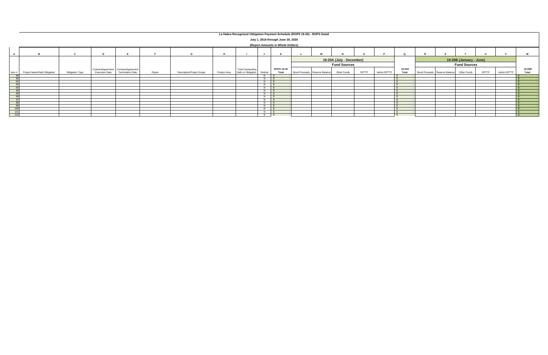|          |                                                     |                                            |                                       |                                 |       |                                  |              | La Habra Recognized Obligation Payment Schedule (ROPS 19-20) - ROPS Detail |                          |                                    |  |                               |             |              |             |        |                               |             |                             |        |
|----------|-----------------------------------------------------|--------------------------------------------|---------------------------------------|---------------------------------|-------|----------------------------------|--------------|----------------------------------------------------------------------------|--------------------------|------------------------------------|--|-------------------------------|-------------|--------------|-------------|--------|-------------------------------|-------------|-----------------------------|--------|
|          |                                                     |                                            |                                       |                                 |       |                                  |              |                                                                            |                          |                                    |  |                               |             |              |             |        |                               |             |                             |        |
|          |                                                     |                                            |                                       |                                 |       |                                  |              |                                                                            |                          | July 1, 2019 through June 30, 2020 |  |                               |             |              |             |        |                               |             |                             |        |
|          |                                                     |                                            |                                       |                                 |       |                                  |              |                                                                            |                          | (Report Amounts in Whole Dollars)  |  |                               |             |              |             |        |                               |             |                             |        |
|          |                                                     |                                            |                                       |                                 |       |                                  |              |                                                                            |                          |                                    |  |                               |             |              |             |        |                               |             |                             |        |
|          |                                                     |                                            |                                       |                                 |       |                                  |              |                                                                            |                          |                                    |  |                               |             |              |             |        |                               |             | $\mathbf{u}$                | W      |
|          |                                                     |                                            |                                       |                                 |       |                                  |              |                                                                            |                          |                                    |  |                               |             |              |             |        |                               |             |                             |        |
|          | 19-20A (July - December)<br>19-20B (January - June) |                                            |                                       |                                 |       |                                  |              |                                                                            |                          |                                    |  |                               |             |              |             |        |                               |             |                             |        |
|          |                                                     | <b>Fund Sources</b><br><b>Fund Sources</b> |                                       |                                 |       |                                  |              |                                                                            |                          |                                    |  |                               |             |              |             |        |                               |             |                             |        |
|          |                                                     |                                            | Contract/Agreement Contract/Agreement |                                 |       |                                  |              | <b>Total Outstanding</b>                                                   |                          | <b>ROPS 19-20</b>                  |  |                               |             |              |             | 19-20A |                               |             |                             | 19-20B |
| Item $#$ | Project Name/Debt Obligation                        | Obligation Type                            |                                       | Execution Date Termination Date | Payee | <b>Description/Project Scope</b> | Project Area | Debt or Obligation                                                         | Retired                  | Total                              |  | Bond Proceeds Reserve Balance | Other Funds | <b>RPTTF</b> | Admin RPTTF | Total  | Bond Proceeds Reserve Balance | Other Funds | <b>RPTTF</b><br>Admin RPTTF | Total  |
|          |                                                     |                                            |                                       |                                 |       |                                  |              |                                                                            | N I                      |                                    |  |                               |             |              |             |        |                               |             |                             |        |
| Q(       |                                                     |                                            |                                       |                                 |       |                                  |              |                                                                            | $N$ $\sqrt{s}$           |                                    |  |                               |             |              |             |        |                               |             |                             |        |
|          |                                                     |                                            |                                       |                                 |       |                                  |              |                                                                            | $\overline{N}$           |                                    |  |                               |             |              |             |        |                               |             |                             |        |
|          |                                                     |                                            |                                       |                                 |       |                                  |              |                                                                            | $N$ $\sqrt{S}$           |                                    |  |                               |             |              |             |        |                               |             |                             |        |
|          |                                                     |                                            |                                       |                                 |       |                                  |              |                                                                            | $N \quad$ $\blacksquare$ |                                    |  |                               |             |              |             |        |                               |             |                             |        |
| $\Omega$ |                                                     |                                            |                                       |                                 |       |                                  |              |                                                                            | N                        |                                    |  |                               |             |              |             |        |                               |             |                             |        |
| $\sim$   |                                                     |                                            |                                       |                                 |       |                                  |              |                                                                            | $N$ $\blacksquare$       |                                    |  |                               |             |              |             |        |                               |             |                             |        |
|          |                                                     |                                            |                                       |                                 |       |                                  |              |                                                                            | N                        |                                    |  |                               |             |              |             |        |                               |             |                             |        |
|          |                                                     |                                            |                                       |                                 |       |                                  |              |                                                                            | N   \$                   |                                    |  |                               |             |              |             |        |                               |             |                             |        |
|          |                                                     |                                            |                                       |                                 |       |                                  |              |                                                                            | N   \$                   |                                    |  |                               |             |              |             |        |                               |             |                             |        |
| $\alpha$ |                                                     |                                            |                                       |                                 |       |                                  |              |                                                                            | N                        |                                    |  |                               |             |              |             |        |                               |             |                             |        |
| - 100    |                                                     |                                            |                                       |                                 |       |                                  |              |                                                                            | N IS                     |                                    |  |                               |             |              |             |        |                               |             |                             |        |
| - 101    |                                                     |                                            |                                       |                                 |       |                                  |              |                                                                            | $N$ $\Box$               |                                    |  |                               |             |              |             |        |                               |             |                             |        |
| 102      |                                                     |                                            |                                       |                                 |       |                                  |              |                                                                            | $N$ $S$                  |                                    |  |                               |             |              |             |        |                               |             |                             |        |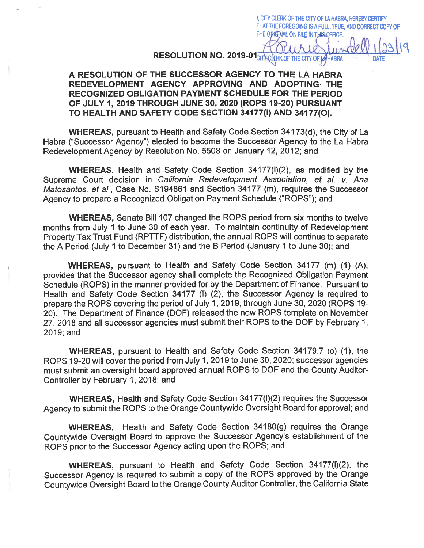RESOLUTION NO. 2019-01 CITY CLERK OF THE CITY OF **AHABRA** 

I, CITY CLERK OF THE CITY OF LA HABRA, HEREBY CERTIFY THAT THE FOREGOING IS A FULL, TRUE, AND CORRECT COPY OF

THE ORIGINAL ON FILE IN THIS OFFICE.

### A RESOLUTION OF THE SUCCESSOR AGENCY TO THE LA HABRA REDEVELOPMENT AGENCY APPROVING AND ADOPTING THE RECOGNIZED OBLIGATION PAYMENT SCHEDULE FOR THE PERIOD OF JULY 1, 2019 THROUGH JUNE 30, 2020 (ROPS 19-20) PURSUANT TO HEALTH AND SAFETY CODE SECTION 34177(I) AND 34177(O).

**WHEREAS, pursuant to Health and Safety Code Section 34173(d), the City of La** Habra ("Successor Agency") elected to become the Successor Agency to the La Habra Redevelopment Agency by Resolution No. 5508 on January 12, 2012; and

WHEREAS, Health and Safety Code Section 34177(I)(2), as modified by the Supreme Court decision in California Redevelopment Association, et al. v. Ana Matosantos, et al., Case No. S194861 and Section 34177 (m), requires the Successor Agency to prepare a Recognized Obligation Payment Schedule ("ROPS"); and

**WHEREAS.** Senate Bill 107 changed the ROPS period from six months to twelve months from July 1 to June 30 of each year. To maintain continuity of Redevelopment Property Tax Trust Fund (RPTTF) distribution, the annual ROPS will continue to separate the A Period (July 1 to December 31) and the B Period (January 1 to June 30); and

**WHEREAS, pursuant to Health and Safety Code Section 34177 (m) (1) (A),** provides that the Successor agency shall complete the Recognized Obligation Payment Schedule (ROPS) in the manner provided for by the Department of Finance. Pursuant to Health and Safety Code Section 34177 (I) (2), the Successor Agency is required to prepare the ROPS covering the period of July 1, 2019, through June 30, 2020 (ROPS 19-20). The Department of Finance (DOF) released the new ROPS template on November 27, 2018 and all successor agencies must submit their ROPS to the DOF by February 1. 2019; and

WHEREAS, pursuant to Health and Safety Code Section 34179.7 (o) (1), the ROPS 19-20 will cover the period from July 1, 2019 to June 30, 2020; successor agencies must submit an oversight board approved annual ROPS to DOF and the County Auditor-Controller by February 1, 2018; and

**WHEREAS, Health and Safety Code Section 34177(I)(2) requires the Successor** Agency to submit the ROPS to the Orange Countywide Oversight Board for approval: and

**WHEREAS.** Health and Safety Code Section 34180(g) requires the Orange Countywide Oversight Board to approve the Successor Agency's establishment of the ROPS prior to the Successor Agency acting upon the ROPS; and

WHEREAS, pursuant to Health and Safety Code Section 34177(I)(2), the Successor Agency is required to submit a copy of the ROPS approved by the Orange Countywide Oversight Board to the Orange County Auditor Controller, the California State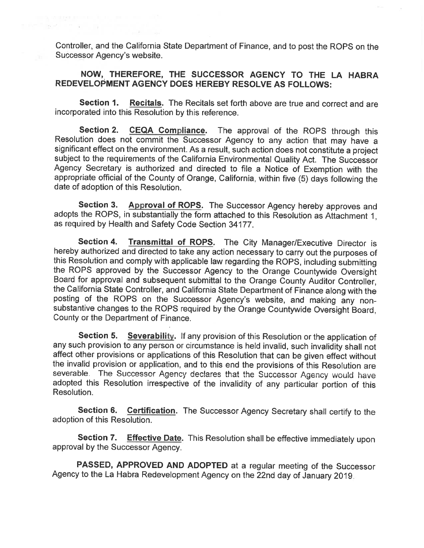Controller, and the California State Department of Finance, and to post the ROPS on the Successor Agency's website.

the state of the control of

### NOW, THEREFORE, THE SUCCESSOR AGENCY TO THE LA HABRA REDEVELOPMENT AGENCY DOES HEREBY RESOLVE AS FOLLOWS:

Recitals. The Recitals set forth above are true and correct and are Section 1. incorporated into this Resolution by this reference.

**Section 2. CEQA Compliance.** The approval of the ROPS through this Resolution does not commit the Successor Agency to any action that may have a significant effect on the environment. As a result, such action does not constitute a project subject to the requirements of the California Environmental Quality Act. The Successor Agency Secretary is authorized and directed to file a Notice of Exemption with the appropriate official of the County of Orange, California, within five (5) days following the date of adoption of this Resolution.

Section 3. Approval of ROPS. The Successor Agency hereby approves and adopts the ROPS, in substantially the form attached to this Resolution as Attachment 1. as required by Health and Safety Code Section 34177.

Section 4. Transmittal of ROPS. The City Manager/Executive Director is hereby authorized and directed to take any action necessary to carry out the purposes of this Resolution and comply with applicable law regarding the ROPS, including submitting the ROPS approved by the Successor Agency to the Orange Countywide Oversight Board for approval and subsequent submittal to the Orange County Auditor Controller, the California State Controller, and California State Department of Finance along with the posting of the ROPS on the Successor Agency's website, and making any nonsubstantive changes to the ROPS required by the Orange Countywide Oversight Board, County or the Department of Finance.

Section 5. Severability. If any provision of this Resolution or the application of any such provision to any person or circumstance is held invalid, such invalidity shall not affect other provisions or applications of this Resolution that can be given effect without the invalid provision or application, and to this end the provisions of this Resolution are severable. The Successor Agency declares that the Successor Agency would have adopted this Resolution irrespective of the invalidity of any particular portion of this Resolution.

Section 6. Certification. The Successor Agency Secretary shall certify to the adoption of this Resolution.

Section 7. **Effective Date.** This Resolution shall be effective immediately upon approval by the Successor Agency.

PASSED, APPROVED AND ADOPTED at a regular meeting of the Successor Agency to the La Habra Redevelopment Agency on the 22nd day of January 2019.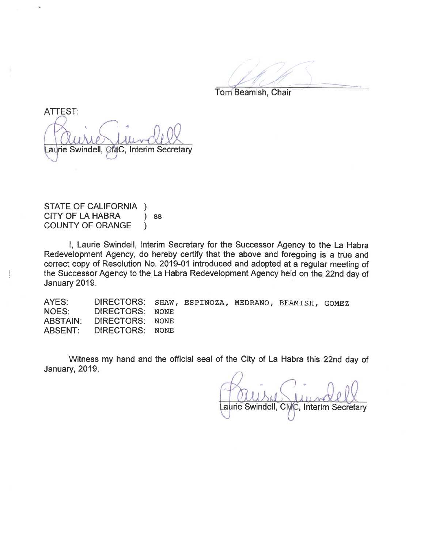Tom Beamish, Chair

**ATTEST:** aurie Swindell, CMC, Interim Secretary

**STATE OF CALIFORNIA**  $\lambda$ CITY OF LA HABRA SS  $\mathcal{E}$ **COUNTY OF ORANGE**  $\lambda$ 

I, Laurie Swindell, Interim Secretary for the Successor Agency to the La Habra Redevelopment Agency, do hereby certify that the above and foregoing is a true and correct copy of Resolution No. 2019-01 introduced and adopted at a regular meeting of the Successor Agency to the La Habra Redevelopment Agency held on the 22nd day of January 2019.

AYES: DIRECTORS: SHAW, ESPINOZA, MEDRANO, BEAMISH, GOMEZ **NOES: DIRECTORS: NONE ABSTAIN:** DIRECTORS: **NONE ABSENT:** DIRECTORS: **NONE** 

Witness my hand and the official seal of the City of La Habra this 22nd day of January, 2019.

Laurie Swindell, CMC, Interim Secretary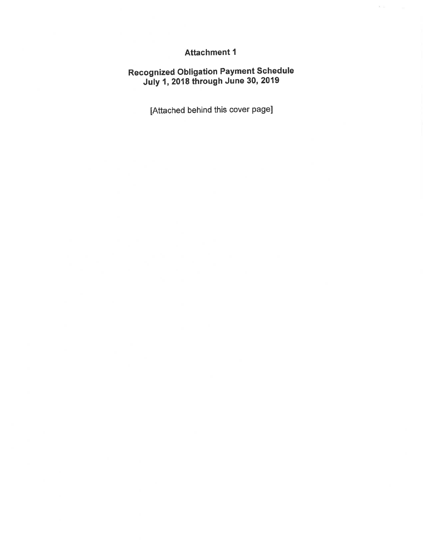## **Attachment 1**

 $\mathbf{x} \in \mathbb{R}$ 

# Recognized Obligation Payment Schedule<br>July 1, 2018 through June 30, 2019

[Attached behind this cover page]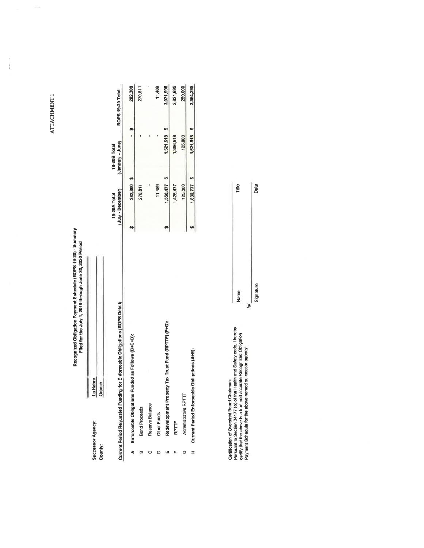ATTACHMENT 1

 $\sim$ 

 $\begin{array}{c} 1 \\ 1 \end{array}$ 

# Recognized Obligation Payment Schedule (ROPS 19-20) - Summary<br>Filed for the July 1, 2019 through June 30, 2020 Period

| Successor Agency | ĺ<br>La Habra                                                                                                                                                                     |  |
|------------------|-----------------------------------------------------------------------------------------------------------------------------------------------------------------------------------|--|
| Count            | ֖֖֖ׅ֖֖֖֧֖֧֧֪֪֪֪֪֧֪֪֪֪ׅ֪֚֚֚֚֚֚֚֚֚֚֚֚֚֚֚֚֡֟֟֡֡֡֡֝֬֝֬֝֓֞֝֬֝֓֬֝֬֝֬֝֓֝֬֝֬֝֬֝֬֝֬֝֬֝֬֝֬֝֬֝֬֝֬֝֬֝֬֝֝֬֝֬֝֝֬֝֝֬֝֝֝֝֝<br>֧֪֧֧֧֧֧֪֧֧֧֧֧֧֧֖֧֪֧֪֛֪֪֚֩֩֩֩֝֩׀<br>֧֪֪֧֪֪֪֖<br><i><b>Jrange</b></i> |  |

|   | for Enforceable Obligations (ROPS Detall)<br>Current Period Requested Funding fo | (July - December)<br>19-20A Total | (January - June)<br>19-20B Total | ROPS 19-20 Total |           |
|---|----------------------------------------------------------------------------------|-----------------------------------|----------------------------------|------------------|-----------|
| ∢ | Enforceable Obligations Funded as Follows (B+C+D):                               | 282,300 \$                        |                                  |                  | 282,300   |
| ∞ | <b>Bond Proceeds</b>                                                             | 270,811                           |                                  |                  | 270,811   |
|   | Reserve Balance                                                                  |                                   |                                  |                  |           |
|   | Other Funds                                                                      | 11,489                            |                                  |                  | 11,489    |
| ш | Redevelopment Property Tax Trust Fund (RPTTF) (F+G):                             | 1,550,477                         | 1,521,518 \$                     |                  | 3,071,995 |
|   | RPTTF                                                                            | 1,425,477                         | 1,396,518                        |                  | 2,821,995 |
|   | Administrative RPTTF                                                             | 125,000                           | 125,000                          |                  | 250,000   |
| z | Obligations (A+E):<br>Current Period Enforceable                                 | $1,832,777$ \$                    | $1,521,518$ \$                   |                  | 3,354,295 |

| Pursuant to Section 34177 (o) of the Health and Safety code. I hereby | certify that the above is a true and accurate Recognized Obligation<br>Payment Schedule for the above named surcessor agency. |
|-----------------------------------------------------------------------|-------------------------------------------------------------------------------------------------------------------------------|
| Certification of Oversight Board Chairman:                            |                                                                                                                               |

| Date     |
|----------|
|          |
|          |
|          |
| ignature |
|          |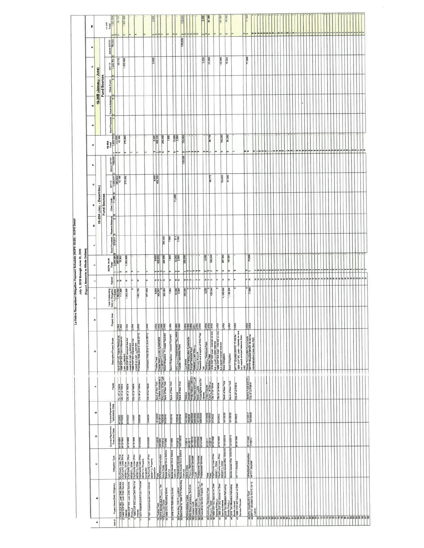|                                                                           | š             |                          | 15.708<br>Total<br>- 1641.518                                                                                           |                                         | 18 113<br>1000 000                                                                                                          |                   |                                                                                                                               |                                                   |                                                                             |                                                                                         |                                                                                                                                                |                                    |                                                                      |         |                                                          |                                                                                                                                                                                                                                                                                                                                                                                                                                                          | 3250  | <b>38</b>                                                                                                                                                      |                                                    | 143.500                                                                       | ١۴                          |                                                                                                                                                                                                                                                     |                                         |                                                                        |  |  |  |  |  |  |  |  |  |                                        |
|---------------------------------------------------------------------------|---------------|--------------------------|-------------------------------------------------------------------------------------------------------------------------|-----------------------------------------|-----------------------------------------------------------------------------------------------------------------------------|-------------------|-------------------------------------------------------------------------------------------------------------------------------|---------------------------------------------------|-----------------------------------------------------------------------------|-----------------------------------------------------------------------------------------|------------------------------------------------------------------------------------------------------------------------------------------------|------------------------------------|----------------------------------------------------------------------|---------|----------------------------------------------------------|----------------------------------------------------------------------------------------------------------------------------------------------------------------------------------------------------------------------------------------------------------------------------------------------------------------------------------------------------------------------------------------------------------------------------------------------------------|-------|----------------------------------------------------------------------------------------------------------------------------------------------------------------|----------------------------------------------------|-------------------------------------------------------------------------------|-----------------------------|-----------------------------------------------------------------------------------------------------------------------------------------------------------------------------------------------------------------------------------------------------|-----------------------------------------|------------------------------------------------------------------------|--|--|--|--|--|--|--|--|--|----------------------------------------|
|                                                                           | ٠             |                          |                                                                                                                         | Admin RPTTF<br>12-000                   |                                                                                                                             |                   |                                                                                                                               |                                                   |                                                                             |                                                                                         |                                                                                                                                                |                                    | 125,000                                                              |         |                                                          |                                                                                                                                                                                                                                                                                                                                                                                                                                                          |       |                                                                                                                                                                |                                                    |                                                                               |                             |                                                                                                                                                                                                                                                     |                                         |                                                                        |  |  |  |  |  |  |  |  |  |                                        |
|                                                                           | $\Rightarrow$ |                          |                                                                                                                         | RPTTF<br>1. St                          | 33.113<br>1,032,908                                                                                                         |                   |                                                                                                                               |                                                   | 3,000                                                                       |                                                                                         |                                                                                                                                                |                                    |                                                                      |         |                                                          |                                                                                                                                                                                                                                                                                                                                                                                                                                                          | 3.250 | 33,589                                                                                                                                                         |                                                    | 142,500                                                                       | 76.282                      |                                                                                                                                                                                                                                                     | 71,896                                  |                                                                        |  |  |  |  |  |  |  |  |  |                                        |
|                                                                           |               | 19-20B (January - June)  | Fund Sources<br>Other Funds                                                                                             |                                         |                                                                                                                             |                   |                                                                                                                               |                                                   |                                                                             |                                                                                         |                                                                                                                                                |                                    |                                                                      |         |                                                          |                                                                                                                                                                                                                                                                                                                                                                                                                                                          |       |                                                                                                                                                                |                                                    |                                                                               |                             |                                                                                                                                                                                                                                                     |                                         |                                                                        |  |  |  |  |  |  |  |  |  |                                        |
|                                                                           | 65            |                          | Reserve Balance                                                                                                         |                                         |                                                                                                                             |                   |                                                                                                                               |                                                   |                                                                             |                                                                                         |                                                                                                                                                |                                    |                                                                      |         |                                                          |                                                                                                                                                                                                                                                                                                                                                                                                                                                          |       |                                                                                                                                                                |                                                    |                                                                               |                             |                                                                                                                                                                                                                                                     |                                         |                                                                        |  |  |  |  |  |  |  |  |  |                                        |
|                                                                           | œ             |                          |                                                                                                                         | <b>Bond Proceeds</b>                    |                                                                                                                             | 270,000           |                                                                                                                               |                                                   |                                                                             | 8.300                                                                                   | 250.000                                                                                                                                        | 7,800                              | $\frac{12,000}{2,500}$                                               | 125,000 |                                                          |                                                                                                                                                                                                                                                                                                                                                                                                                                                          |       | 98.775                                                                                                                                                         |                                                    | 125,000                                                                       | 51,282                      |                                                                                                                                                                                                                                                     |                                         |                                                                        |  |  |  |  |  |  |  |  |  |                                        |
|                                                                           | $\circ$       |                          |                                                                                                                         | 19-20A<br>Test<br>1.832,777<br>45,189   |                                                                                                                             | l۳                |                                                                                                                               |                                                   |                                                                             |                                                                                         |                                                                                                                                                | <b>o</b>                           |                                                                      |         |                                                          | Ju                                                                                                                                                                                                                                                                                                                                                                                                                                                       | 49 49 |                                                                                                                                                                | w                                                  | lan.                                                                          | l۴                          |                                                                                                                                                                                                                                                     |                                         |                                                                        |  |  |  |  |  |  |  |  |  |                                        |
|                                                                           | ß,            |                          |                                                                                                                         | <b>Admin RPTTF</b>                      |                                                                                                                             |                   |                                                                                                                               |                                                   |                                                                             |                                                                                         |                                                                                                                                                |                                    |                                                                      | 125 000 |                                                          |                                                                                                                                                                                                                                                                                                                                                                                                                                                          |       |                                                                                                                                                                |                                                    |                                                                               |                             |                                                                                                                                                                                                                                                     |                                         |                                                                        |  |  |  |  |  |  |  |  |  |                                        |
|                                                                           | $\circ$       |                          |                                                                                                                         | RPTTF<br>1.425.477<br>385.000<br>43,188 |                                                                                                                             | 270,000           |                                                                                                                               |                                                   |                                                                             | 6,000<br>408.232                                                                        |                                                                                                                                                |                                    |                                                                      |         |                                                          |                                                                                                                                                                                                                                                                                                                                                                                                                                                          |       | 08.775                                                                                                                                                         |                                                    | 125,000                                                                       | 61,282                      |                                                                                                                                                                                                                                                     |                                         |                                                                        |  |  |  |  |  |  |  |  |  |                                        |
|                                                                           | z             | 19-20A (July - December) | Fund Sources                                                                                                            | Other Funds                             |                                                                                                                             |                   |                                                                                                                               |                                                   |                                                                             |                                                                                         |                                                                                                                                                |                                    | 11,480                                                               |         |                                                          |                                                                                                                                                                                                                                                                                                                                                                                                                                                          |       |                                                                                                                                                                |                                                    |                                                                               |                             |                                                                                                                                                                                                                                                     |                                         |                                                                        |  |  |  |  |  |  |  |  |  |                                        |
|                                                                           |               | ż                        |                                                                                                                         | Reserve Belance                         |                                                                                                                             |                   |                                                                                                                               |                                                   |                                                                             |                                                                                         |                                                                                                                                                |                                    |                                                                      |         |                                                          |                                                                                                                                                                                                                                                                                                                                                                                                                                                          |       |                                                                                                                                                                |                                                    |                                                                               |                             |                                                                                                                                                                                                                                                     |                                         |                                                                        |  |  |  |  |  |  |  |  |  |                                        |
| a Habra Recognized Obligation Payment Schedule (ROPS 19-20) - ROPS Detail |               | $\overline{\phantom{a}}$ |                                                                                                                         | Proceeds<br>270.811<br>Bond             |                                                                                                                             |                   |                                                                                                                               |                                                   |                                                                             |                                                                                         | 250.000                                                                                                                                        | 7,890                              | $rac{61}{2.500}$                                                     |         |                                                          |                                                                                                                                                                                                                                                                                                                                                                                                                                                          |       |                                                                                                                                                                |                                                    |                                                                               |                             |                                                                                                                                                                                                                                                     |                                         |                                                                        |  |  |  |  |  |  |  |  |  |                                        |
| July 1, 2019 through June 30, 2020<br>Report Amounts in Whole Dollars     |               | ×                        | $\begin{array}{r} \n 10099 & 1008 \\ \hline\n 10081 & 1000 \\ \hline\n 000 & 1000 \\ \hline\n 000 & 1000\n \end{array}$ |                                         |                                                                                                                             | 1.302.008<br>lu   |                                                                                                                               |                                                   |                                                                             | 8,000<br>""                                                                             | 280.000                                                                                                                                        | 7,800                              | $\frac{12,000}{2,500}$                                               | 250,000 |                                                          |                                                                                                                                                                                                                                                                                                                                                                                                                                                          | 3,250 | - 130.344                                                                                                                                                      |                                                    | 287 500<br>u                                                                  | 157,564<br>las              |                                                                                                                                                                                                                                                     | 71,898                                  |                                                                        |  |  |  |  |  |  |  |  |  |                                        |
|                                                                           |               | ь                        |                                                                                                                         | Relined                                 | zz                                                                                                                          | z                 | z                                                                                                                             |                                                   | 1z                                                                          | zz                                                                                      | -lz                                                                                                                                            | z                                  | zz                                                                   |         |                                                          |                                                                                                                                                                                                                                                                                                                                                                                                                                                          | z >   | 1z                                                                                                                                                             |                                                    | z                                                                             | z                           | Þ<br>o                                                                                                                                                                                                                                              | - 1z                                    |                                                                        |  |  |  |  |  |  |  |  |  |                                        |
|                                                                           |               |                          |                                                                                                                         |                                         | Tolel Outstanding<br>Debt or Obligation<br>11,713,033<br>17,908<br>177,908                                                  | 1.302,908         | 1.401.700                                                                                                                     |                                                   | 671,054                                                                     | 9,000<br>404,307<br>250,000                                                             |                                                                                                                                                | 7,890                              | 12.000                                                               |         |                                                          | 250.000                                                                                                                                                                                                                                                                                                                                                                                                                                                  |       | 3.250<br>130.344                                                                                                                                               | c                                                  | 4,185,000                                                                     | 1.128.308                   |                                                                                                                                                                                                                                                     | $rac{0}{71,800}$                        |                                                                        |  |  |  |  |  |  |  |  |  |                                        |
|                                                                           |               | Ξ                        |                                                                                                                         | Project Area                            | ERE                                                                                                                         | E                 | LHRA<br><b>TURA</b>                                                                                                           |                                                   | LHRA                                                                        | 望望                                                                                      |                                                                                                                                                | <b>LHRA</b>                        |                                                                      |         |                                                          | <u>EEEFEE</u>                                                                                                                                                                                                                                                                                                                                                                                                                                            |       | <b>EEE</b>                                                                                                                                                     | E                                                  | LHRA                                                                          | LHRA                        | E                                                                                                                                                                                                                                                   | <b>REA</b>                              |                                                                        |  |  |  |  |  |  |  |  |  |                                        |
|                                                                           |               | G                        |                                                                                                                         | Description/Project Scope               | 1 (6:18 COP INC Future Princii el on<br>1998 COP BIC Future Interest on<br>Loan Adveement<br>1898 COP BIC principal due but |                   | ungeld on Loan (, mement<br>1996 COP B/C Interest due but<br>umped an Loan (, , reement<br>Promissory Note (Due in June 2014) |                                                   | romissory Note (Due in June 2014)                                           |                                                                                         |                                                                                                                                                | Bond Obligation - Interest Payment | CFD - Lil Assessment Pre residen LHRA<br>Trustee Tees-Nello Roos     |         |                                                          |                                                                                                                                                                                                                                                                                                                                                                                                                                                          | lant. | Continuin (Discourse Fees<br>Burniculus Faes<br>MV 9.002 Fright Halamost on disc Life<br>MV 9.002 Fright Halamost<br>INV9.00 Find Halamost<br>IRONIO Dispation |                                                    |                                                                               | <b>Bond Obligation</b>      | dom<br>RPTTF Shortfall (RDPS 17-18) for<br>by COP BIC Loan - Internet on close<br>by COP BIC Loan - Internet on close<br>way my Picture in Son Corp (See All of Representative Picture )<br>Roman Son Loan (See All on Son)<br>Administrative Costa |                                         |                                                                        |  |  |  |  |  |  |  |  |  |                                        |
|                                                                           |               | $\mathbf{a}$             |                                                                                                                         | Payee                                   | C's of La Habra<br>City of La Habra                                                                                         | City of the Hebre | City of La Habra                                                                                                              | City of La Habra                                  | City of La Habra                                                            | Bank of New York<br>La Habra Associates I.I.<br>Em Jere of New York<br>Bank of New York |                                                                                                                                                | Bank of New York                   | Various<br>Bank of New York                                          |         |                                                          | Vankous<br>Arnode Landacar<br>While Nation Twin is A<br>Bond Lustin<br>Bond Lustin                                                                                                                                                                                                                                                                                                                                                                       | Jamas | Urben Futures<br>County of Orange<br>City of La Habra                                                                                                          | City of La Habra                                   | Bank of New York                                                              | Bank of New York            | <b>City of Le Hebre</b>                                                                                                                                                                                                                             | Smith's Food and Dr<br>City of La Hebra |                                                                        |  |  |  |  |  |  |  |  |  |                                        |
|                                                                           |               | ш                        |                                                                                                                         | Contract/Agreement<br>Termination Date  | 8/1/2022<br>9/1/2022                                                                                                        | 8/1/2022          | 1/2022                                                                                                                        | 7/5/2038                                          | 7/5/2038                                                                    | 8162116<br>8112018<br>8022511<br>8112018                                                |                                                                                                                                                | 9/1/2019                           | <b>HZ219</b><br>9/12219                                              |         |                                                          |                                                                                                                                                                                                                                                                                                                                                                                                                                                          |       | 10/1/2032<br>10/1/2032<br>9/1/2022                                                                                                                             | <b>B/1/2022</b>                                    | 10/1/2032                                                                     | 10/1/2032                   | <b>BY1/2022</b>                                                                                                                                                                                                                                     | <b>SIT2017</b><br>10/1/2032             |                                                                        |  |  |  |  |  |  |  |  |  |                                        |
|                                                                           |               | $\circ$                  |                                                                                                                         | Contract/Agreement<br>Execution Date    | <b>exericive</b><br>Pristies                                                                                                | 8/15/1995         | 9/15/1988                                                                                                                     | 8002/91/0                                         | 6/15/2000                                                                   |                                                                                         | $\begin{array}{r} \n 11/1/2000 \\ \underline{218/1692} \\ \underline{171/2014} \\ \underline{171/2014} \\ \underline{171/1888} \\ \end{array}$ | 1/1/1999                           | 7117012                                                              |         |                                                          | $\begin{array}{l} \textcolor{red}{\textbf{112011}} \textcolor{red}{\textbf{13}} \\ \textcolor{red}{\textbf{213011}} \textcolor{red}{\textbf{13011}} \textcolor{red}{\textbf{140121}} \textcolor{red}{\textbf{150121}} \textcolor{red}{\textbf{150121}} \textcolor{red}{\textbf{150121}} \textcolor{red}{\textbf{150121}} \textcolor{red}{\textbf{150121}} \textcolor{red}{\textbf{150121}} \textcolor{red}{\textbf{150121}} \textcolor{red}{\textbf{150$ |       | BRITS118<br>1112014<br>11511998                                                                                                                                | 9/15/1998                                          | 12/13/2016                                                                    | 12/13/2016                  | 8/15/1998                                                                                                                                                                                                                                           | <b>PLEZALLA</b>                         |                                                                        |  |  |  |  |  |  |  |  |  |                                        |
|                                                                           |               | ە                        |                                                                                                                         | Obligation Type                         | CityCount Loan Prior                                                                                                        |                   | 00/28411, Other<br>Cliy/Courty Loan (Prior<br>00/28411 Other<br>00/28411, Other Prior<br>00/29411, Other Loan (Prior          | 06/28/11). Property                               | Itansaction<br>City/County Loan (Phor<br>06/28/11), Property<br>Itansaction | Fees<br>OPA/DDA/Construction                                                            | Admin Costs<br>Bonds Issued On or Before<br>12/31/10<br>Bonds Issued On or Before                                                              |                                    | 12/31/10<br>  Professional Services<br>  12/31/10<br>  12/31/10      |         | Admin Costs<br>P.o. Maintenance<br>Professional Services | Legal<br>Professional Sarvices<br>Professional Services                                                                                                                                                                                                                                                                                                                                                                                                  |       | Pees<br>Fees<br>City/County Lusa (Prov<br>Daza/11 Other                                                                                                        |                                                    | City/County Loan (Priot<br>06226111), Other<br>Bonds Issued After 12/31/10 13 | Bonds lesued After 12/31/10 | <b>RPTTF Shortfell</b>                                                                                                                                                                                                                              | OPA/DDA/Construction<br>RPTTF Shortfall |                                                                        |  |  |  |  |  |  |  |  |  |                                        |
|                                                                           |               | ø                        |                                                                                                                         | Project Name/Debt Obligation            | 1698 COP B/C Loan Dabt Service<br>1998 COP B/C Loan Oebl Service                                                            |                   | 3 1888 COP BIC Loan Debt Service<br>Primal et<br>4 1998 COP BIC Loan Dabt Service                                             | Inferest<br>11 1001 Imperiel purch Loan Principal | 12 1001 Imperial purch Loan Interest                                        |                                                                                         | 13 Trustee Fees<br>16 OPA Market lece Prusent Tex<br>17 Emiri ee Costs<br>20 1999 CFD Refunding bords                                          | 21 1999 CFD Refunding bonds        | 22 Consulting CFD Ping intion<br>23 Bond face for 1999 CFD Refunding |         |                                                          | 24 Minimiratini No Costs<br>28 Contract Audit<br>28 Contract Audit<br>27 Contract Alborne<br>29 Consuling Service Property Tax                                                                                                                                                                                                                                                                                                                           |       | 30 Continuin   Dactosum Fees<br>32 Pr             Taxes<br>40   1938 COP B/C Interest on Debt                                                                  | Service Principal<br>1998 COP BIC Interest on Debt | Ŧ                                                                             |                             | Service Interest<br>48 2018 Tax Alexander Refunding<br>44 2016 Tax Alexander Refunding<br>47 Boards Interest<br>47 Boardsa Principal                                                                                                                |                                         | 48 OPA Vone/Smith's Food<br>49 RPTTF Shortfell for ROPS 18-19<br>Admin |  |  |  |  |  |  |  |  |  | ************************************** |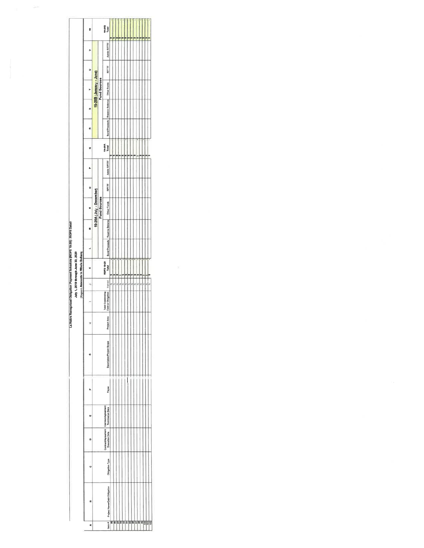|                                                                            |                                                                         | ś |                          |                         | 1e.zeB<br>Total                                         |  |  |  |                |  |  |  |  |
|----------------------------------------------------------------------------|-------------------------------------------------------------------------|---|--------------------------|-------------------------|---------------------------------------------------------|--|--|--|----------------|--|--|--|--|
|                                                                            |                                                                         | ð |                          |                         | <b>Admin RPTTF</b>                                      |  |  |  |                |  |  |  |  |
|                                                                            |                                                                         | Þ |                          |                         | RPTTF                                                   |  |  |  |                |  |  |  |  |
|                                                                            |                                                                         |   |                          | 19-20B (January - June) |                                                         |  |  |  |                |  |  |  |  |
|                                                                            |                                                                         | o |                          |                         | Bond Proceeds Researva Balanca   Other Funds            |  |  |  |                |  |  |  |  |
|                                                                            |                                                                         | œ |                          |                         |                                                         |  |  |  |                |  |  |  |  |
|                                                                            |                                                                         | O |                          |                         | 19.20A<br>Total                                         |  |  |  |                |  |  |  |  |
|                                                                            |                                                                         |   |                          |                         | <b>Admin RPTTF</b>                                      |  |  |  |                |  |  |  |  |
|                                                                            |                                                                         | o |                          |                         | RPTTF                                                   |  |  |  |                |  |  |  |  |
|                                                                            |                                                                         |   |                          |                         |                                                         |  |  |  |                |  |  |  |  |
|                                                                            |                                                                         |   | 19-20A (July - December) | Fund Sources            |                                                         |  |  |  |                |  |  |  |  |
|                                                                            |                                                                         |   |                          |                         | Bond Proceeds Reserve Balance Other Funds               |  |  |  |                |  |  |  |  |
|                                                                            |                                                                         |   |                          |                         |                                                         |  |  |  |                |  |  |  |  |
|                                                                            | July 1, 2019 through June 30, 2020<br>(Report Amounts In Whole Dollars) |   |                          |                         | ROPS 19-20<br>Total                                     |  |  |  |                |  |  |  |  |
|                                                                            |                                                                         |   |                          |                         | ---------                                               |  |  |  |                |  |  |  |  |
| La Habra Recognized Obligation Payment Schedule (ROPS 19-20) - ROPS Detail |                                                                         |   |                          |                         | Date or Obligation<br>Tolal Outstanding                 |  |  |  |                |  |  |  |  |
|                                                                            |                                                                         | × |                          |                         | Project Area                                            |  |  |  |                |  |  |  |  |
|                                                                            |                                                                         | ö |                          |                         | Description/Project Scope                               |  |  |  |                |  |  |  |  |
|                                                                            |                                                                         |   |                          |                         | Payee                                                   |  |  |  |                |  |  |  |  |
|                                                                            |                                                                         | ш |                          |                         | Termination Date                                        |  |  |  |                |  |  |  |  |
|                                                                            |                                                                         | ۵ |                          |                         | Contract/Agreement Contract/Agreement<br>Execution Date |  |  |  |                |  |  |  |  |
|                                                                            |                                                                         |   |                          |                         | Obigation Type                                          |  |  |  |                |  |  |  |  |
|                                                                            |                                                                         | E |                          |                         | Project Namo/Debt Obligation                            |  |  |  |                |  |  |  |  |
|                                                                            |                                                                         | ⋖ |                          |                         | Item $\theta$                                           |  |  |  | 88588488588559 |  |  |  |  |